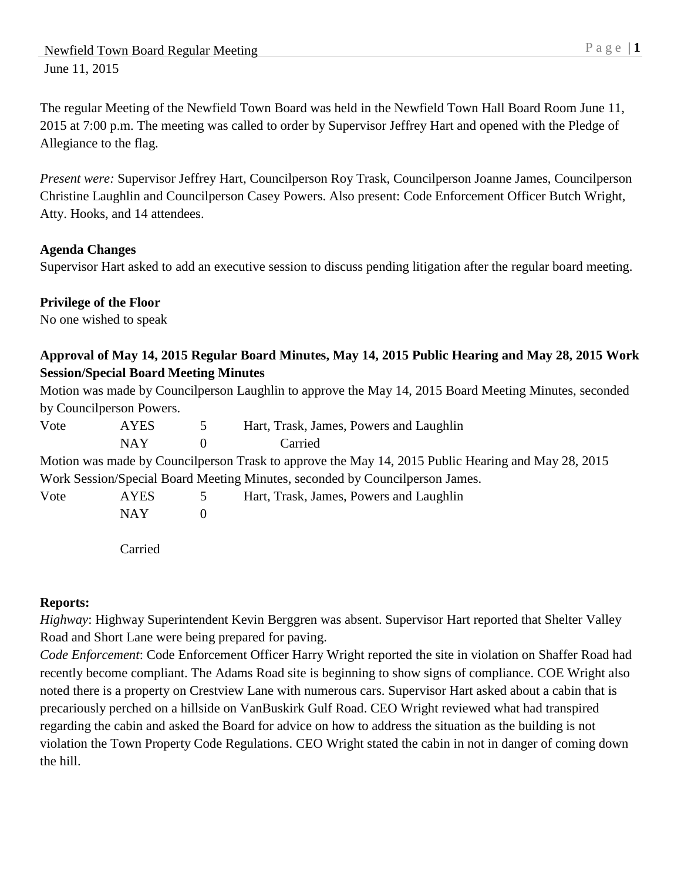The regular Meeting of the Newfield Town Board was held in the Newfield Town Hall Board Room June 11, 2015 at 7:00 p.m. The meeting was called to order by Supervisor Jeffrey Hart and opened with the Pledge of Allegiance to the flag.

*Present were:* Supervisor Jeffrey Hart, Councilperson Roy Trask, Councilperson Joanne James, Councilperson Christine Laughlin and Councilperson Casey Powers. Also present: Code Enforcement Officer Butch Wright, Atty. Hooks, and 14 attendees.

### **Agenda Changes**

Supervisor Hart asked to add an executive session to discuss pending litigation after the regular board meeting.

### **Privilege of the Floor**

No one wished to speak

## **Approval of May 14, 2015 Regular Board Minutes, May 14, 2015 Public Hearing and May 28, 2015 Work Session/Special Board Meeting Minutes**

Motion was made by Councilperson Laughlin to approve the May 14, 2015 Board Meeting Minutes, seconded by Councilperson Powers.

| Vote | <b>AYES</b> | $\mathcal{D}$ | Hart, Trask, James, Powers and Laughlin                                                            |
|------|-------------|---------------|----------------------------------------------------------------------------------------------------|
|      | <b>NAY</b>  | $\theta$      | Carried                                                                                            |
|      |             |               | Motion was made by Councilperson Trask to approve the May 14, 2015 Public Hearing and May 28, 2015 |
|      |             |               | Work Session/Special Board Meeting Minutes, seconded by Councilperson James.                       |
| Vote | <b>AYES</b> |               | Hart, Trask, James, Powers and Laughlin                                                            |
|      | <b>NAY</b>  | $\theta$      |                                                                                                    |
|      |             |               |                                                                                                    |

Carried

## **Reports:**

*Highway*: Highway Superintendent Kevin Berggren was absent. Supervisor Hart reported that Shelter Valley Road and Short Lane were being prepared for paving.

*Code Enforcement*: Code Enforcement Officer Harry Wright reported the site in violation on Shaffer Road had recently become compliant. The Adams Road site is beginning to show signs of compliance. COE Wright also noted there is a property on Crestview Lane with numerous cars. Supervisor Hart asked about a cabin that is precariously perched on a hillside on VanBuskirk Gulf Road. CEO Wright reviewed what had transpired regarding the cabin and asked the Board for advice on how to address the situation as the building is not violation the Town Property Code Regulations. CEO Wright stated the cabin in not in danger of coming down the hill.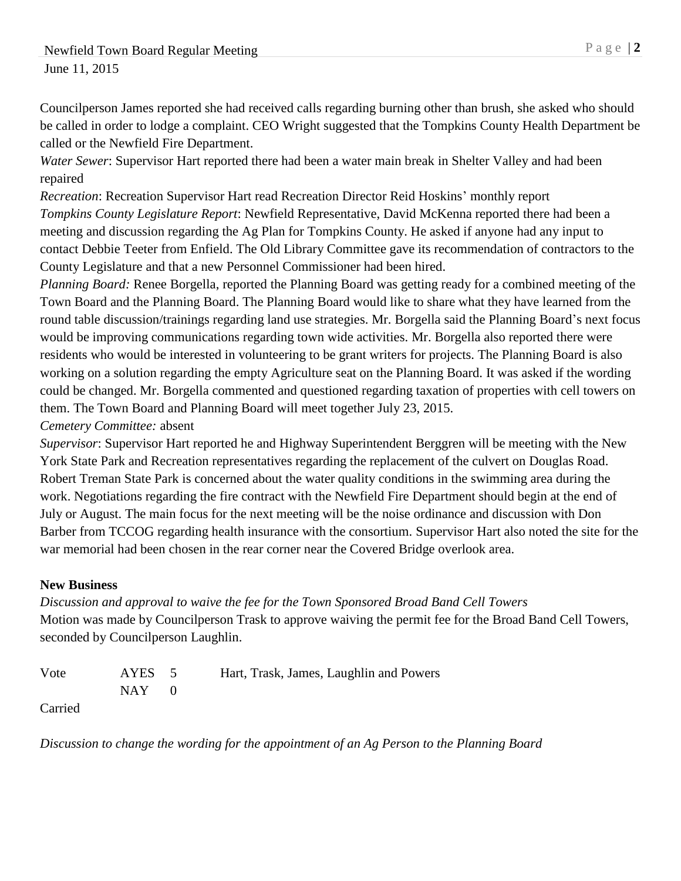Councilperson James reported she had received calls regarding burning other than brush, she asked who should be called in order to lodge a complaint. CEO Wright suggested that the Tompkins County Health Department be called or the Newfield Fire Department.

*Water Sewer*: Supervisor Hart reported there had been a water main break in Shelter Valley and had been repaired

*Recreation*: Recreation Supervisor Hart read Recreation Director Reid Hoskins' monthly report *Tompkins County Legislature Report*: Newfield Representative, David McKenna reported there had been a meeting and discussion regarding the Ag Plan for Tompkins County. He asked if anyone had any input to contact Debbie Teeter from Enfield. The Old Library Committee gave its recommendation of contractors to the County Legislature and that a new Personnel Commissioner had been hired.

*Planning Board:* Renee Borgella, reported the Planning Board was getting ready for a combined meeting of the Town Board and the Planning Board. The Planning Board would like to share what they have learned from the round table discussion/trainings regarding land use strategies. Mr. Borgella said the Planning Board's next focus would be improving communications regarding town wide activities. Mr. Borgella also reported there were residents who would be interested in volunteering to be grant writers for projects. The Planning Board is also working on a solution regarding the empty Agriculture seat on the Planning Board. It was asked if the wording could be changed. Mr. Borgella commented and questioned regarding taxation of properties with cell towers on them. The Town Board and Planning Board will meet together July 23, 2015.

*Cemetery Committee:* absent

*Supervisor*: Supervisor Hart reported he and Highway Superintendent Berggren will be meeting with the New York State Park and Recreation representatives regarding the replacement of the culvert on Douglas Road. Robert Treman State Park is concerned about the water quality conditions in the swimming area during the work. Negotiations regarding the fire contract with the Newfield Fire Department should begin at the end of July or August. The main focus for the next meeting will be the noise ordinance and discussion with Don Barber from TCCOG regarding health insurance with the consortium. Supervisor Hart also noted the site for the war memorial had been chosen in the rear corner near the Covered Bridge overlook area.

## **New Business**

*Discussion and approval to waive the fee for the Town Sponsored Broad Band Cell Towers* Motion was made by Councilperson Trask to approve waiving the permit fee for the Broad Band Cell Towers, seconded by Councilperson Laughlin.

Vote AYES 5 Hart, Trask, James, Laughlin and Powers  $NAY$  0

Carried

*Discussion to change the wording for the appointment of an Ag Person to the Planning Board*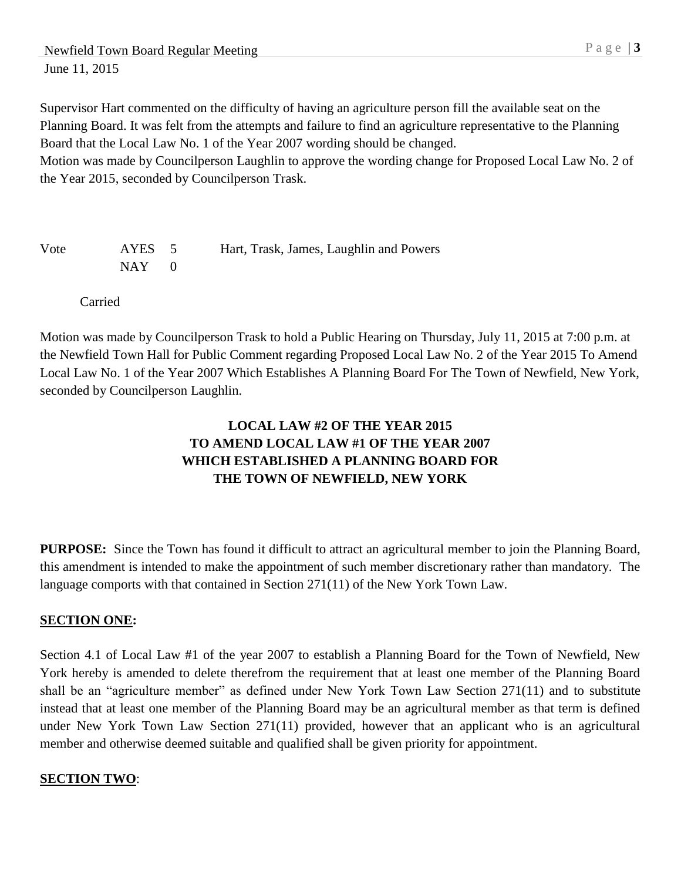Supervisor Hart commented on the difficulty of having an agriculture person fill the available seat on the Planning Board. It was felt from the attempts and failure to find an agriculture representative to the Planning Board that the Local Law No. 1 of the Year 2007 wording should be changed.

Motion was made by Councilperson Laughlin to approve the wording change for Proposed Local Law No. 2 of the Year 2015, seconded by Councilperson Trask.

Vote AYES 5 Hart, Trask, James, Laughlin and Powers  $NAY$  0

Carried

Motion was made by Councilperson Trask to hold a Public Hearing on Thursday, July 11, 2015 at 7:00 p.m. at the Newfield Town Hall for Public Comment regarding Proposed Local Law No. 2 of the Year 2015 To Amend Local Law No. 1 of the Year 2007 Which Establishes A Planning Board For The Town of Newfield, New York, seconded by Councilperson Laughlin.

# **LOCAL LAW #2 OF THE YEAR 2015 TO AMEND LOCAL LAW #1 OF THE YEAR 2007 WHICH ESTABLISHED A PLANNING BOARD FOR THE TOWN OF NEWFIELD, NEW YORK**

**PURPOSE:** Since the Town has found it difficult to attract an agricultural member to join the Planning Board, this amendment is intended to make the appointment of such member discretionary rather than mandatory. The language comports with that contained in Section 271(11) of the New York Town Law.

#### **SECTION ONE:**

Section 4.1 of Local Law #1 of the year 2007 to establish a Planning Board for the Town of Newfield, New York hereby is amended to delete therefrom the requirement that at least one member of the Planning Board shall be an "agriculture member" as defined under New York Town Law Section 271(11) and to substitute instead that at least one member of the Planning Board may be an agricultural member as that term is defined under New York Town Law Section 271(11) provided, however that an applicant who is an agricultural member and otherwise deemed suitable and qualified shall be given priority for appointment.

#### **SECTION TWO**: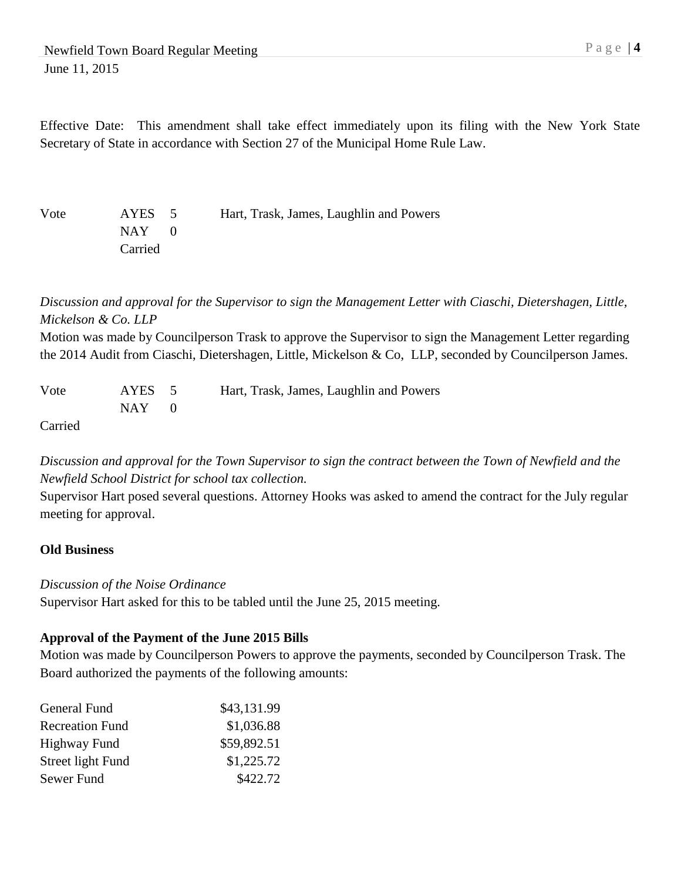Effective Date: This amendment shall take effect immediately upon its filing with the New York State Secretary of State in accordance with Section 27 of the Municipal Home Rule Law.

Vote AYES 5 Hart, Trask, James, Laughlin and Powers NAY 0 Carried

*Discussion and approval for the Supervisor to sign the Management Letter with Ciaschi, Dietershagen, Little, Mickelson & Co. LLP*

Motion was made by Councilperson Trask to approve the Supervisor to sign the Management Letter regarding the 2014 Audit from Ciaschi, Dietershagen, Little, Mickelson & Co, LLP, seconded by Councilperson James.

| Vote                        | AYES 5     | Hart, Trask, James, Laughlin and Powers |
|-----------------------------|------------|-----------------------------------------|
|                             | $NAY \t 0$ |                                         |
| $\sim$ $\sim$ $\sim$ $\sim$ |            |                                         |

Carried

*Discussion and approval for the Town Supervisor to sign the contract between the Town of Newfield and the Newfield School District for school tax collection.*

Supervisor Hart posed several questions. Attorney Hooks was asked to amend the contract for the July regular meeting for approval.

#### **Old Business**

#### *Discussion of the Noise Ordinance*

Supervisor Hart asked for this to be tabled until the June 25, 2015 meeting.

#### **Approval of the Payment of the June 2015 Bills**

Motion was made by Councilperson Powers to approve the payments, seconded by Councilperson Trask. The Board authorized the payments of the following amounts:

| General Fund           | \$43,131.99 |
|------------------------|-------------|
| <b>Recreation Fund</b> | \$1,036.88  |
| Highway Fund           | \$59,892.51 |
| Street light Fund      | \$1,225.72  |
| Sewer Fund             | \$422.72    |